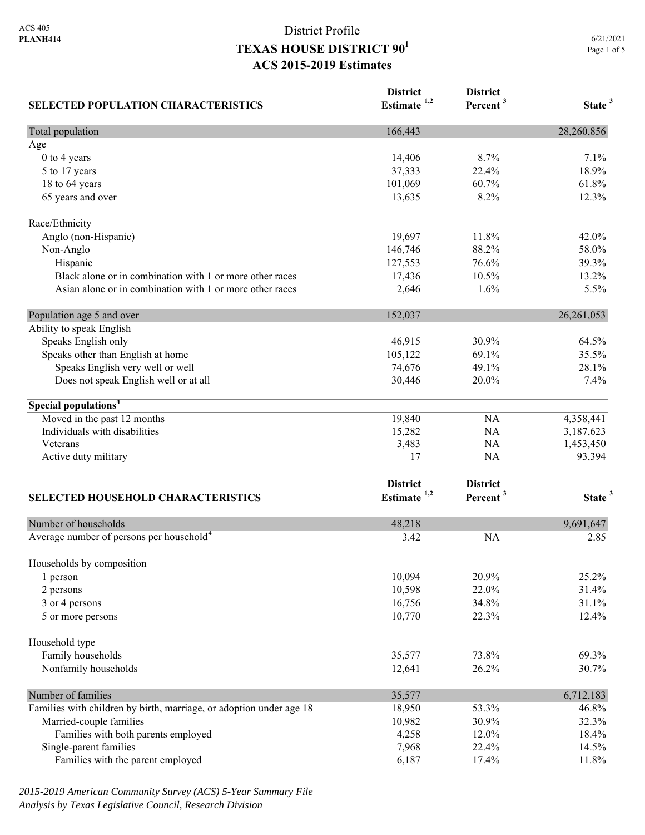| <b>SELECTED POPULATION CHARACTERISTICS</b>                          | <b>District</b><br>Estimate <sup>1,2</sup> | <b>District</b><br>Percent <sup>3</sup> | State <sup>3</sup> |
|---------------------------------------------------------------------|--------------------------------------------|-----------------------------------------|--------------------|
| Total population                                                    | 166,443                                    |                                         | 28,260,856         |
| Age                                                                 |                                            |                                         |                    |
| 0 to 4 years                                                        | 14,406                                     | 8.7%                                    | 7.1%               |
| 5 to 17 years                                                       | 37,333                                     | 22.4%                                   | 18.9%              |
| 18 to 64 years                                                      | 101,069                                    | 60.7%                                   | 61.8%              |
| 65 years and over                                                   | 13,635                                     | 8.2%                                    | 12.3%              |
| Race/Ethnicity                                                      |                                            |                                         |                    |
| Anglo (non-Hispanic)                                                | 19,697                                     | 11.8%                                   | 42.0%              |
| Non-Anglo                                                           | 146,746                                    | 88.2%                                   | 58.0%              |
| Hispanic                                                            | 127,553                                    | 76.6%                                   | 39.3%              |
| Black alone or in combination with 1 or more other races            | 17,436                                     | 10.5%                                   | 13.2%              |
| Asian alone or in combination with 1 or more other races            | 2,646                                      | 1.6%                                    | 5.5%               |
| Population age 5 and over                                           | 152,037                                    |                                         | 26,261,053         |
| Ability to speak English                                            |                                            |                                         |                    |
| Speaks English only                                                 | 46,915                                     | 30.9%                                   | 64.5%              |
| Speaks other than English at home                                   | 105,122                                    | 69.1%                                   | 35.5%              |
| Speaks English very well or well                                    | 74,676                                     | 49.1%                                   | 28.1%              |
| Does not speak English well or at all                               | 30,446                                     | 20.0%                                   | 7.4%               |
| Special populations <sup>4</sup>                                    |                                            |                                         |                    |
| Moved in the past 12 months                                         | 19,840                                     | <b>NA</b>                               | 4,358,441          |
| Individuals with disabilities                                       | 15,282                                     | <b>NA</b>                               | 3,187,623          |
| Veterans                                                            | 3,483                                      | <b>NA</b>                               | 1,453,450          |
| Active duty military                                                | 17                                         | <b>NA</b>                               | 93,394             |
|                                                                     | <b>District</b>                            | <b>District</b>                         |                    |
| <b>SELECTED HOUSEHOLD CHARACTERISTICS</b>                           | Estimate $1,2$                             | Percent <sup>3</sup>                    | State <sup>3</sup> |
| Number of households                                                | 48,218                                     |                                         | 9,691,647          |
| Average number of persons per household <sup>4</sup>                | 3.42                                       | <b>NA</b>                               | 2.85               |
|                                                                     |                                            |                                         |                    |
| Households by composition<br>1 person                               | 10,094                                     | 20.9%                                   | 25.2%              |
| 2 persons                                                           | 10,598                                     | 22.0%                                   | 31.4%              |
| 3 or 4 persons                                                      | 16,756                                     | 34.8%                                   | 31.1%              |
| 5 or more persons                                                   | 10,770                                     | 22.3%                                   | 12.4%              |
| Household type                                                      |                                            |                                         |                    |
| Family households                                                   | 35,577                                     | 73.8%                                   | 69.3%              |
| Nonfamily households                                                | 12,641                                     | 26.2%                                   | 30.7%              |
| Number of families                                                  | 35,577                                     |                                         | 6,712,183          |
| Families with children by birth, marriage, or adoption under age 18 | 18,950                                     | 53.3%                                   | 46.8%              |
| Married-couple families                                             | 10,982                                     | 30.9%                                   | 32.3%              |
| Families with both parents employed                                 | 4,258                                      | 12.0%                                   | 18.4%              |
| Single-parent families                                              | 7,968                                      | 22.4%                                   | 14.5%              |
| Families with the parent employed                                   | 6,187                                      | 17.4%                                   | 11.8%              |

*2015-2019 American Community Survey (ACS) 5-Year Summary File Analysis by Texas Legislative Council, Research Division*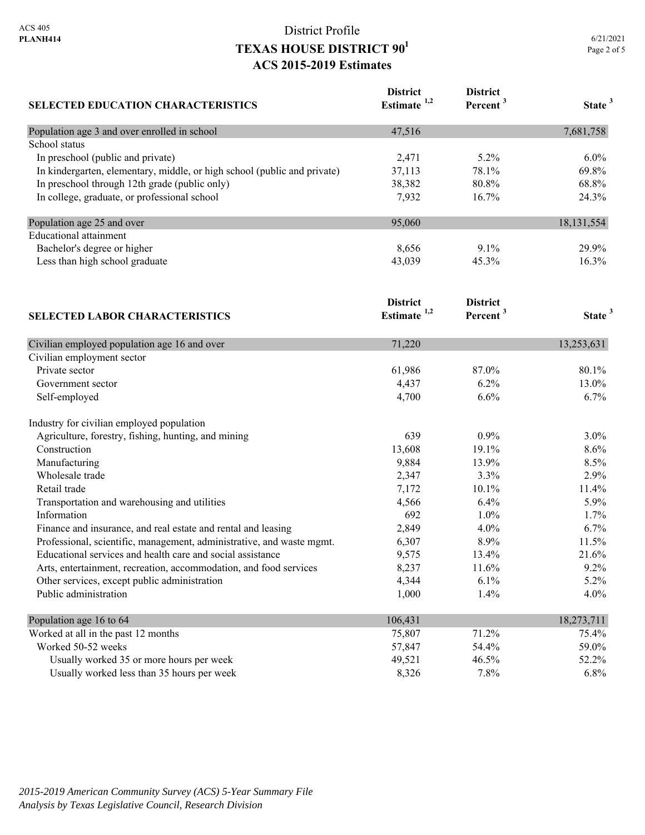| <b>SELECTED EDUCATION CHARACTERISTICS</b>                                | <b>District</b><br>Estimate <sup>1,2</sup> | <b>District</b><br>Percent <sup>3</sup> | State <sup>3</sup> |
|--------------------------------------------------------------------------|--------------------------------------------|-----------------------------------------|--------------------|
| Population age 3 and over enrolled in school                             | 47,516                                     |                                         | 7,681,758          |
| School status                                                            |                                            |                                         |                    |
| In preschool (public and private)                                        | 2,471                                      | 5.2%                                    | 6.0%               |
| In kindergarten, elementary, middle, or high school (public and private) | 37,113                                     | 78.1%                                   | 69.8%              |
| In preschool through 12th grade (public only)                            | 38,382                                     | 80.8%                                   | 68.8%              |
| In college, graduate, or professional school                             | 7,932                                      | 16.7%                                   | 24.3%              |
| Population age 25 and over                                               | 95,060                                     |                                         | 18,131,554         |
| <b>Educational attainment</b>                                            |                                            |                                         |                    |
| Bachelor's degree or higher                                              | 8,656                                      | 9.1%                                    | 29.9%              |
| Less than high school graduate                                           | 43,039                                     | 45.3%                                   | 16.3%              |
|                                                                          | <b>District</b>                            | <b>District</b>                         |                    |
| <b>SELECTED LABOR CHARACTERISTICS</b>                                    | Estimate $1,2$                             | Percent <sup>3</sup>                    | State <sup>3</sup> |
| Civilian employed population age 16 and over                             | 71,220                                     |                                         | 13,253,631         |
| Civilian employment sector                                               |                                            |                                         |                    |
| Private sector                                                           | 61,986                                     | 87.0%                                   | 80.1%              |
| Government sector                                                        | 4,437                                      | 6.2%                                    | 13.0%              |
| Self-employed                                                            | 4,700                                      | 6.6%                                    | 6.7%               |
| Industry for civilian employed population                                |                                            |                                         |                    |
| Agriculture, forestry, fishing, hunting, and mining                      | 639                                        | 0.9%                                    | 3.0%               |
| Construction                                                             | 13,608                                     | 19.1%                                   | 8.6%               |
| Manufacturing                                                            | 9,884                                      | 13.9%                                   | 8.5%               |
| Wholesale trade                                                          | 2,347                                      | 3.3%                                    | 2.9%               |
| Retail trade                                                             | 7,172                                      | 10.1%                                   | 11.4%              |
| Transportation and warehousing and utilities                             | 4,566                                      | 6.4%                                    | 5.9%               |
| Information                                                              | 692                                        | 1.0%                                    | 1.7%               |
| Finance and insurance, and real estate and rental and leasing            | 2,849                                      | 4.0%                                    | 6.7%               |
| Professional, scientific, management, administrative, and waste mgmt.    | 6,307                                      | 8.9%                                    | 11.5%              |
| Educational services and health care and social assistance               | 9,575                                      | 13.4%                                   | 21.6%              |
| Arts, entertainment, recreation, accommodation, and food services        | 8,237                                      | 11.6%                                   | 9.2%               |
| Other services, except public administration                             | 4,344                                      | 6.1%                                    | 5.2%               |
| Public administration                                                    | 1,000                                      | 1.4%                                    | 4.0%               |
| Population age 16 to 64                                                  | 106,431                                    |                                         | 18,273,711         |
| Worked at all in the past 12 months                                      | 75,807                                     | 71.2%                                   | 75.4%              |
| Worked 50-52 weeks                                                       | 57,847                                     | 54.4%                                   | 59.0%              |
| Usually worked 35 or more hours per week                                 | 49,521                                     | 46.5%                                   | 52.2%              |
| Usually worked less than 35 hours per week                               | 8,326                                      | 7.8%                                    | 6.8%               |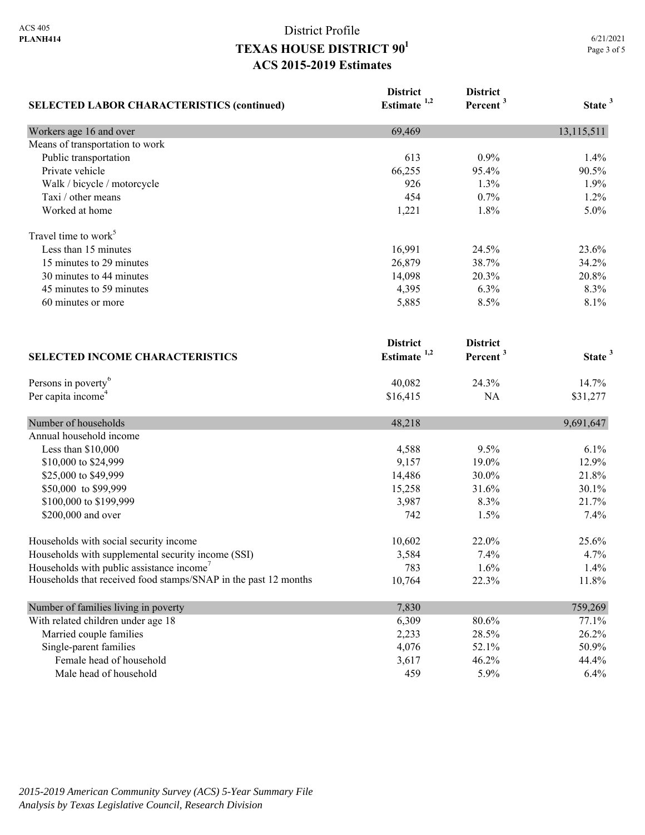| <b>SELECTED LABOR CHARACTERISTICS (continued)</b>               | <b>District</b><br>Estimate <sup>1,2</sup> | <b>District</b><br>Percent <sup>3</sup> | State <sup>3</sup> |
|-----------------------------------------------------------------|--------------------------------------------|-----------------------------------------|--------------------|
|                                                                 |                                            |                                         |                    |
| Means of transportation to work                                 |                                            |                                         |                    |
| Public transportation                                           | 613                                        | 0.9%                                    | 1.4%               |
| Private vehicle                                                 | 66,255                                     | 95.4%                                   | 90.5%              |
| Walk / bicycle / motorcycle                                     | 926                                        | 1.3%                                    | 1.9%               |
| Taxi / other means                                              | 454                                        | 0.7%                                    | 1.2%               |
| Worked at home                                                  | 1,221                                      | 1.8%                                    | 5.0%               |
| Travel time to work <sup>5</sup>                                |                                            |                                         |                    |
| Less than 15 minutes                                            | 16,991                                     | 24.5%                                   | 23.6%              |
| 15 minutes to 29 minutes                                        | 26,879                                     | 38.7%                                   | 34.2%              |
| 30 minutes to 44 minutes                                        | 14,098                                     | 20.3%                                   | 20.8%              |
| 45 minutes to 59 minutes                                        | 4,395                                      | 6.3%                                    | 8.3%               |
| 60 minutes or more                                              | 5,885                                      | 8.5%                                    | 8.1%               |
|                                                                 | <b>District</b>                            | <b>District</b>                         |                    |
| <b>SELECTED INCOME CHARACTERISTICS</b>                          | Estimate $1,2$                             | Percent <sup>3</sup>                    | State <sup>3</sup> |
| Persons in poverty <sup>6</sup>                                 | 40,082                                     | 24.3%                                   | 14.7%              |
| Per capita income <sup>4</sup>                                  | \$16,415                                   | <b>NA</b>                               | \$31,277           |
| Number of households                                            | 48,218                                     |                                         | 9,691,647          |
| Annual household income                                         |                                            |                                         |                    |
| Less than \$10,000                                              | 4,588                                      | 9.5%                                    | 6.1%               |
| \$10,000 to \$24,999                                            | 9,157                                      | 19.0%                                   | 12.9%              |
| \$25,000 to \$49,999                                            | 14,486                                     | 30.0%                                   | 21.8%              |
| \$50,000 to \$99,999                                            | 15,258                                     | 31.6%                                   | 30.1%              |
| \$100,000 to \$199,999                                          | 3,987                                      | 8.3%                                    | 21.7%              |
| \$200,000 and over                                              | 742                                        | 1.5%                                    | 7.4%               |
| Households with social security income                          | 10,602                                     | 22.0%                                   | 25.6%              |
| Households with supplemental security income (SSI)              | 3,584                                      | 7.4%                                    | 4.7%               |
| Households with public assistance income'                       | 783                                        | 1.6%                                    | 1.4%               |
| Households that received food stamps/SNAP in the past 12 months | 10,764                                     | 22.3%                                   | 11.8%              |
| Number of families living in poverty                            | 7,830                                      |                                         | 759,269            |
| With related children under age 18                              | 6,309                                      | 80.6%                                   | 77.1%              |
| Married couple families                                         | 2,233                                      | 28.5%                                   | 26.2%              |
| Single-parent families                                          | 4,076                                      | 52.1%                                   | 50.9%              |
| Female head of household                                        | 3,617                                      | 46.2%                                   | 44.4%              |
| Male head of household                                          | 459                                        | 5.9%                                    | 6.4%               |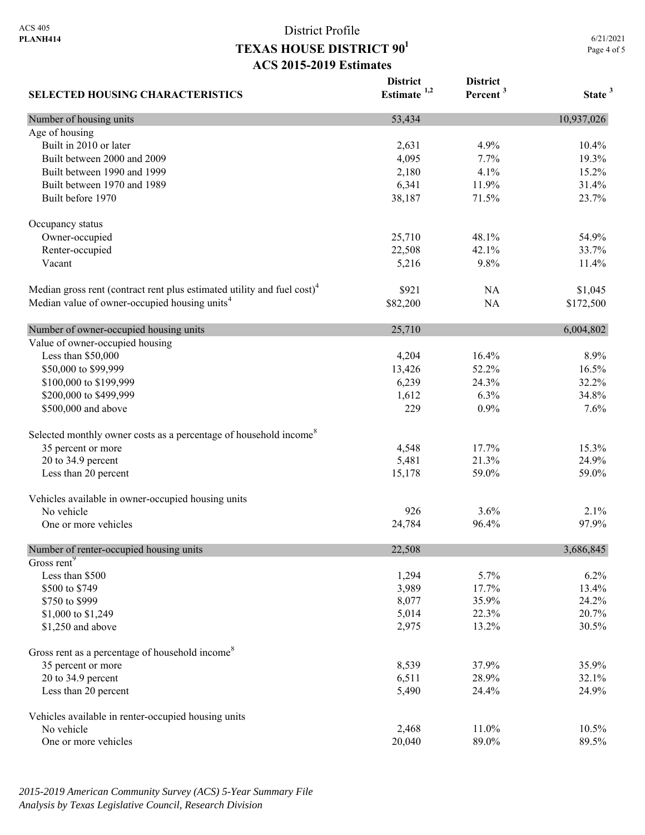**SELECTED HOUSING CHARACTERISTICS District Estimate 1,2 District Percent <sup>3</sup> State <sup>3</sup>** Number of housing units 10,937,026 Age of housing Built in 2010 or later 10.4% 10.4% 10.4% 10.4% 10.4% 10.4% 10.4% 10.4% 10.4% 10.4% 10.4% 10.4% 10.4% 10.4% 10.4% Built between 2000 and 2009 19.3% 19.3% 19.3% 19.3% 19.3% Built between 1990 and 1999 15.2% 2,180 4.1% 15.2% Built between 1970 and 1989 6,341 11.9% 31.4% Built before 1970 23.7% 23.7% 23.7% 23.7% Occupancy status Owner-occupied 25,710 48.1% 54.9% 54.9% Renter-occupied 22,508 42.1% 33.7% Vacant 11.4% 11.4% 12.5 and 5,216 11.4% 9.8% 11.4% Median gross rent (contract rent plus estimated utility and fuel cost)<sup>4</sup> \$921 NA \$1,045 Median value of owner-occupied housing units<sup>4</sup> \$82,200 NA \$172,500 Number of owner-occupied housing units 25,710 6,004,802 Value of owner-occupied housing Less than \$50,000 4,204 16.4% 8.9% \$50,000 to \$99,999 13,426 52.2% 16.5% 16.5% \$100,000 to \$199,999 6,239 24.3% 32.2% 32.2% \$200,000 to \$499,999 1,612 6.3% 34.8% 34.8% \$500,000 and above 229 0.9% 7.6% 7.6% Selected monthly owner costs as a percentage of household income<sup>8</sup> 35 percent or more 15.3% 17.7% 15.3% 20 to 34.9 percent 24.9% 24.9% 26.9% 26.9% 26.9% 26.9% 26.9% 26.9% 26.9% 26.9% 26.9% 26.9% 26.9% 26.9% 26.9% 26 Less than 20 percent 15,178 59.0% 59.0% 59.0% 59.0% Vehicles available in owner-occupied housing units No vehicle  $926$   $3.6\%$   $2.1\%$ One or more vehicles 8 and 24,784 96.4% 97.9% Number of renter-occupied housing units 22,508 3,686,845 Gross rent<sup>9</sup> Less than \$500  $1,294$   $5.7\%$   $6.2\%$ \$500 to \$749 13.4% 13.4% 13.500 to \$749 13.4%  $\frac{$750 \text{ to } $999} \times 24.2\%$ \$1,000 to \$1,249 20.7% 20.7% \$1,250 and above 30.5% 30.5% 30.5% 30.5% Gross rent as a percentage of household income<sup>8</sup> 35 percent or more 35.9% 35.9% 35.9% 35.9% 20 to 34.9 percent 32.1% 32.1% Less than 20 percent 24.9% 24.9% 24.9% 25,490 24.9% Vehicles available in renter-occupied housing units No vehicle 2,468 11.0% 10.5% One or more vehicles 89.5% 89.5%